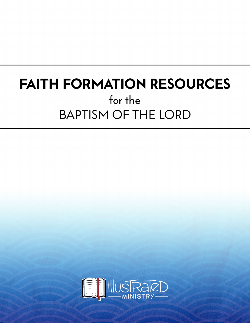# **FAITH FORMATION RESOURCES** for the BAPTISM OF THE LORD

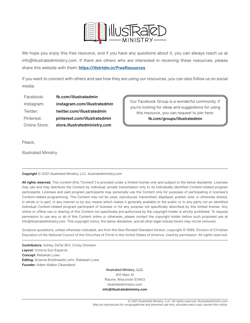

We hope you enjoy this free resource, and if you have any questions about it, you can always reach us at [info@illustratedministry.com.](mailto:info%40illustratedministry.com?subject=Email%20from%20Weekly%20Resources) If there are others who are interested in receiving these resources, please share this website with them: **https://illstrtdm.in/FreeResources**

If you want to connect with others and see how they are using our resources, you can also follow us on social media:

| Facebook:     | fb.com/illustratedmin         |
|---------------|-------------------------------|
| Instagram:    | instagram.com/illustratedmin  |
| Twitter:      | twitter.com/illustratedmin    |
| Pinterest:    | pinterest.com/illustratedmin  |
| Online Store: | store.illustratedministry.com |

Our Facebook Group is a wonderful community. If you're looking for ideas and suggestions for using this resource, you can request to join here: fb.com/groups/illustratedmin

Peace,

Illustrated Ministry

Copyright © 2021 Illustrated Ministry, LLC. illustratedministry.com

All rights reserved. This content (this "Content") is provided under a limited license only and subject to the below disclaimer. Licensee may use and may distribute the Content by individual, private transmission only to its individually identified Content-related program participants. Licensee and said program participants may personally use the Content only for purposes of participating in licensee's Content-related programming. This Content may not be used, reproduced, transmitted, displayed, posted, sold, or otherwise shared, in whole or in part, in any manner or by any means which makes it generally available to the public or to any party not an identified individual Content-related program participant of licensee or for any purpose not specifically described by this limited license. Any online or offline use or sharing of this Content not specifically pre-authorized by the copyright holder is strictly prohibited. To request permission to use any or all of this Content online or otherwise, please contact the copyright holder before such proposed use at info@illustratedministry.com. This copyright notice, the below disclaimer, and all other legal notices herein may not be removed.

Scripture quotations, unless otherwise indicated, are from the New Revised Standard Version, copyright © 1989, Division of Christian Education of the National Council of the Churches of Christ in the United States of America. Used by permission. All rights reserved.

Contributors: Ashley DeTar Birt, Corby Ortmann Layout: Victoria Sun Esparza Concept: Rebekah Lowe Editing: Arianne Braithwaite Lehn, Rebekah Lowe Founder: Adam Walker Cleaveland

> Illustrated Ministry, LLC. 410 Main St Racine, Wisconsin 53403 [illustratedministry.com](https://www.illustratedministry.com) [info@illustratedministry.com](mailto:info%40illustratedministry.com?subject=)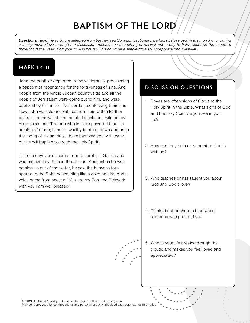## **BAPTISM OF THE LORD**

*Directions: Read the scripture selected from the Revised Common Lectionary, perhaps before bed, in the morning, or during a family meal. Move through the discussion questions in one sitting or answer one a day to help reflect on the scripture throughout the week. End your time in prayer. This could be a simple ritual to incorporate into the week.*

### **MARK 1:4-11**

John the baptizer appeared in the wilderness, proclaiming a baptism of repentance for the forgiveness of sins. And people from the whole Judean countryside and all the people of Jerusalem were going out to him, and were baptized by him in the river Jordan, confessing their sins. Now John was clothed with camel's hair, with a leather belt around his waist, and he ate locusts and wild honey. He proclaimed, "The one who is more powerful than I is coming after me; I am not worthy to stoop down and untie the thong of his sandals. I have baptized you with water; but he will baptize you with the Holy Spirit."

In those days Jesus came from Nazareth of Galilee and was baptized by John in the Jordan. And just as he was coming up out of the water, he saw the heavens torn apart and the Spirit descending like a dove on him. And a voice came from heaven, "You are my Son, the Beloved; with you I am well pleased."

#### **DISCUSSION QUESTIONS**

- 1. Doves are often signs of God and the Holy Spirit in the Bible. What signs of God and the Holy Spirit do you see in your life?
- 2. How can they help us remember God is with us?
- 3. Who teaches or has taught you about God and God's love?
- 4. Think about or share a time when someone was proud of you.
- 5. Who in your life breaks through the clouds and makes you feel loved and appreciated?

© 2021 Illustrated Ministry, LLC. All rights reserved. illustratedministry.com May be reproduced for congregational and personal use only, provided each copy carries this notice.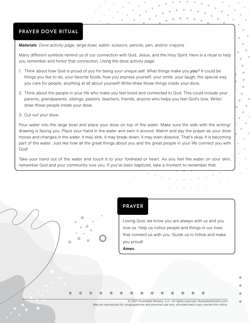#### **PRAYER DOVE RITUAL**

#### *Materials: Dove activity page, large bowl, water, scissors, pencils, pen, and/or crayons*

Many different symbols remind us of our connection with God, Jesus, and the Holy Spirit. Here is a ritual to help you remember and honor that connection. Using the dove activity page:

- 1. Think about how God is proud of you for being your unique self. What things make you *you*? It could be things you like to do, your favorite foods, how you express yourself, your smile, your laugh, the special way you care for people, anything at all about yourself! Write/draw those things inside your dove.
- 2. Think about the people in your life who make you feel loved and connected to God. This could include your parents, grandparents, siblings, pastors, teachers, friends, anyone who helps you feel God's love. Write/ draw those people inside your dove.
- 3. Cut out your dove.

Pour water into the large bowl and place your dove on top of the water. Make sure the side with the writing/ drawing is facing you. Place your hand in the water and swirl it around. Watch and say the prayer as your dove moves and changes in the water. It may sink, it may break down, it may even dissolve. That's okay. It is becoming part of the water. Just like how all the great things about you and the great people in your life connect you with God!

Take your hand out of the water and touch it to your forehead or heart. As you feel the water on your skin, remember God and your community love you. If you've been baptized, take a moment to remember that.

#### **PRAYER**

Loving God, we know you are always with us and you love us. Help us notice people and things in our lives that connect us with you. Guide us to follow and make you proud!

Amen.

© 2021 Illustrated Ministry, LLC. All rights reserved. illustratedministry.com May be reproduced for congregational and personal use only, provided each copy carries this notice.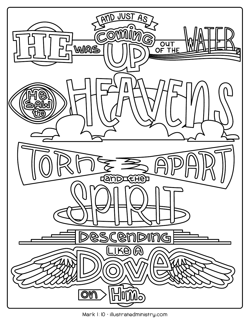

**Mark 1:10 ⋅ illustratedministry.com**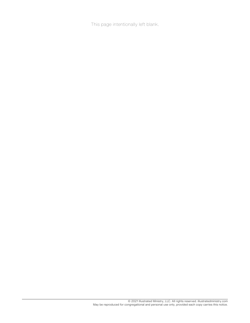This page intentionally left blank.